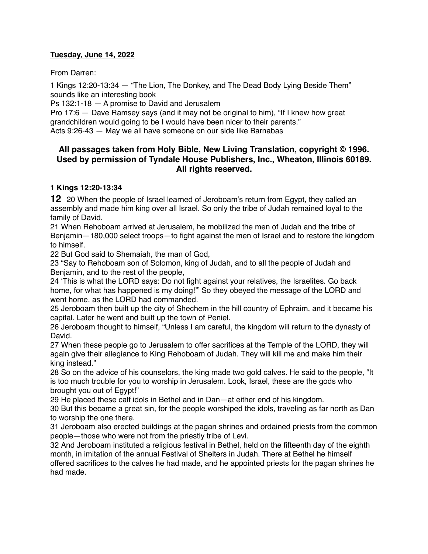### **Tuesday, June 14, 2022**

From Darren:

1 Kings 12:20-13:34 — "The Lion, The Donkey, and The Dead Body Lying Beside Them" sounds like an interesting book

Ps 132:1-18 — A promise to David and Jerusalem

Pro 17:6 — Dave Ramsey says (and it may not be original to him), "If I knew how great grandchildren would going to be I would have been nicer to their parents."

Acts 9:26-43 — May we all have someone on our side like Barnabas

# **All passages taken from Holy Bible, [New Living Translation](http://www.newlivingtranslation.com/), copyright © 1996. Used by permission of [Tyndale House Publishers](http://tyndale.com/), Inc., Wheaton, Illinois 60189. All rights reserved.**

#### **1 Kings 12:20-13:34**

**12** 20 When the people of Israel learned of Jeroboam's return from Egypt, they called an assembly and made him king over all Israel. So only the tribe of Judah remained loyal to the family of David.

21 When Rehoboam arrived at Jerusalem, he mobilized the men of Judah and the tribe of Benjamin—180,000 select troops—to fight against the men of Israel and to restore the kingdom to himself.

22 But God said to Shemaiah, the man of God,

23 "Say to Rehoboam son of Solomon, king of Judah, and to all the people of Judah and Benjamin, and to the rest of the people,

24 'This is what the LORD says: Do not fight against your relatives, the Israelites. Go back home, for what has happened is my doing!'" So they obeyed the message of the LORD and went home, as the LORD had commanded.

25 Jeroboam then built up the city of Shechem in the hill country of Ephraim, and it became his capital. Later he went and built up the town of Peniel.

26 Jeroboam thought to himself, "Unless I am careful, the kingdom will return to the dynasty of David.

27 When these people go to Jerusalem to offer sacrifices at the Temple of the LORD, they will again give their allegiance to King Rehoboam of Judah. They will kill me and make him their king instead."

28 So on the advice of his counselors, the king made two gold calves. He said to the people, "It is too much trouble for you to worship in Jerusalem. Look, Israel, these are the gods who brought you out of Egypt!"

29 He placed these calf idols in Bethel and in Dan—at either end of his kingdom.

30 But this became a great sin, for the people worshiped the idols, traveling as far north as Dan to worship the one there.

31 Jeroboam also erected buildings at the pagan shrines and ordained priests from the common people—those who were not from the priestly tribe of Levi.

32 And Jeroboam instituted a religious festival in Bethel, held on the fifteenth day of the eighth month, in imitation of the annual Festival of Shelters in Judah. There at Bethel he himself offered sacrifices to the calves he had made, and he appointed priests for the pagan shrines he had made.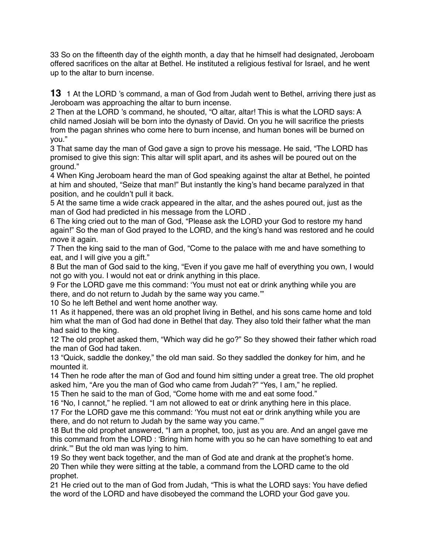33 So on the fifteenth day of the eighth month, a day that he himself had designated, Jeroboam offered sacrifices on the altar at Bethel. He instituted a religious festival for Israel, and he went up to the altar to burn incense.

**13** 1 At the LORD 's command, a man of God from Judah went to Bethel, arriving there just as Jeroboam was approaching the altar to burn incense.

2 Then at the LORD 's command, he shouted, "O altar, altar! This is what the LORD says: A child named Josiah will be born into the dynasty of David. On you he will sacrifice the priests from the pagan shrines who come here to burn incense, and human bones will be burned on you."

3 That same day the man of God gave a sign to prove his message. He said, "The LORD has promised to give this sign: This altar will split apart, and its ashes will be poured out on the ground."

4 When King Jeroboam heard the man of God speaking against the altar at Bethel, he pointed at him and shouted, "Seize that man!" But instantly the king's hand became paralyzed in that position, and he couldn't pull it back.

5 At the same time a wide crack appeared in the altar, and the ashes poured out, just as the man of God had predicted in his message from the LORD .

6 The king cried out to the man of God, "Please ask the LORD your God to restore my hand again!" So the man of God prayed to the LORD, and the king's hand was restored and he could move it again.

7 Then the king said to the man of God, "Come to the palace with me and have something to eat, and I will give you a gift."

8 But the man of God said to the king, "Even if you gave me half of everything you own, I would not go with you. I would not eat or drink anything in this place.

9 For the LORD gave me this command: 'You must not eat or drink anything while you are there, and do not return to Judah by the same way you came.'"

10 So he left Bethel and went home another way.

11 As it happened, there was an old prophet living in Bethel, and his sons came home and told him what the man of God had done in Bethel that day. They also told their father what the man had said to the king.

12 The old prophet asked them, "Which way did he go?" So they showed their father which road the man of God had taken.

13 "Quick, saddle the donkey," the old man said. So they saddled the donkey for him, and he mounted it.

14 Then he rode after the man of God and found him sitting under a great tree. The old prophet asked him, "Are you the man of God who came from Judah?" "Yes, I am," he replied.

15 Then he said to the man of God, "Come home with me and eat some food."

16 "No, I cannot," he replied. "I am not allowed to eat or drink anything here in this place. 17 For the LORD gave me this command: 'You must not eat or drink anything while you are there, and do not return to Judah by the same way you came.'"

18 But the old prophet answered, "I am a prophet, too, just as you are. And an angel gave me this command from the LORD : 'Bring him home with you so he can have something to eat and drink.'" But the old man was lying to him.

19 So they went back together, and the man of God ate and drank at the prophet's home. 20 Then while they were sitting at the table, a command from the LORD came to the old prophet.

21 He cried out to the man of God from Judah, "This is what the LORD says: You have defied the word of the LORD and have disobeyed the command the LORD your God gave you.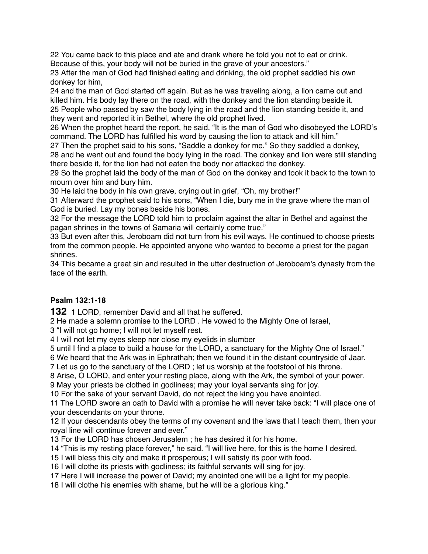You came back to this place and ate and drank where he told you not to eat or drink. Because of this, your body will not be buried in the grave of your ancestors."

 After the man of God had finished eating and drinking, the old prophet saddled his own donkey for him,

 and the man of God started off again. But as he was traveling along, a lion came out and killed him. His body lay there on the road, with the donkey and the lion standing beside it.

 People who passed by saw the body lying in the road and the lion standing beside it, and they went and reported it in Bethel, where the old prophet lived.

 When the prophet heard the report, he said, "It is the man of God who disobeyed the LORD's command. The LORD has fulfilled his word by causing the lion to attack and kill him."

 Then the prophet said to his sons, "Saddle a donkey for me." So they saddled a donkey, and he went out and found the body lying in the road. The donkey and lion were still standing there beside it, for the lion had not eaten the body nor attacked the donkey.

 So the prophet laid the body of the man of God on the donkey and took it back to the town to mourn over him and bury him.

He laid the body in his own grave, crying out in grief, "Oh, my brother!"

 Afterward the prophet said to his sons, "When I die, bury me in the grave where the man of God is buried. Lay my bones beside his bones.

 For the message the LORD told him to proclaim against the altar in Bethel and against the pagan shrines in the towns of Samaria will certainly come true."

 But even after this, Jeroboam did not turn from his evil ways. He continued to choose priests from the common people. He appointed anyone who wanted to become a priest for the pagan shrines.

 This became a great sin and resulted in the utter destruction of Jeroboam's dynasty from the face of the earth.

# **Psalm 132:1-18**

1 LORD, remember David and all that he suffered.

He made a solemn promise to the LORD . He vowed to the Mighty One of Israel,

"I will not go home; I will not let myself rest.

I will not let my eyes sleep nor close my eyelids in slumber

until I find a place to build a house for the LORD, a sanctuary for the Mighty One of Israel."

We heard that the Ark was in Ephrathah; then we found it in the distant countryside of Jaar.

Let us go to the sanctuary of the LORD ; let us worship at the footstool of his throne.

Arise, O LORD, and enter your resting place, along with the Ark, the symbol of your power.

May your priests be clothed in godliness; may your loyal servants sing for joy.

For the sake of your servant David, do not reject the king you have anointed.

 The LORD swore an oath to David with a promise he will never take back: "I will place one of your descendants on your throne.

 If your descendants obey the terms of my covenant and the laws that I teach them, then your royal line will continue forever and ever."

For the LORD has chosen Jerusalem ; he has desired it for his home.

"This is my resting place forever," he said. "I will live here, for this is the home I desired.

I will bless this city and make it prosperous; I will satisfy its poor with food.

I will clothe its priests with godliness; its faithful servants will sing for joy.

Here I will increase the power of David; my anointed one will be a light for my people.

I will clothe his enemies with shame, but he will be a glorious king."